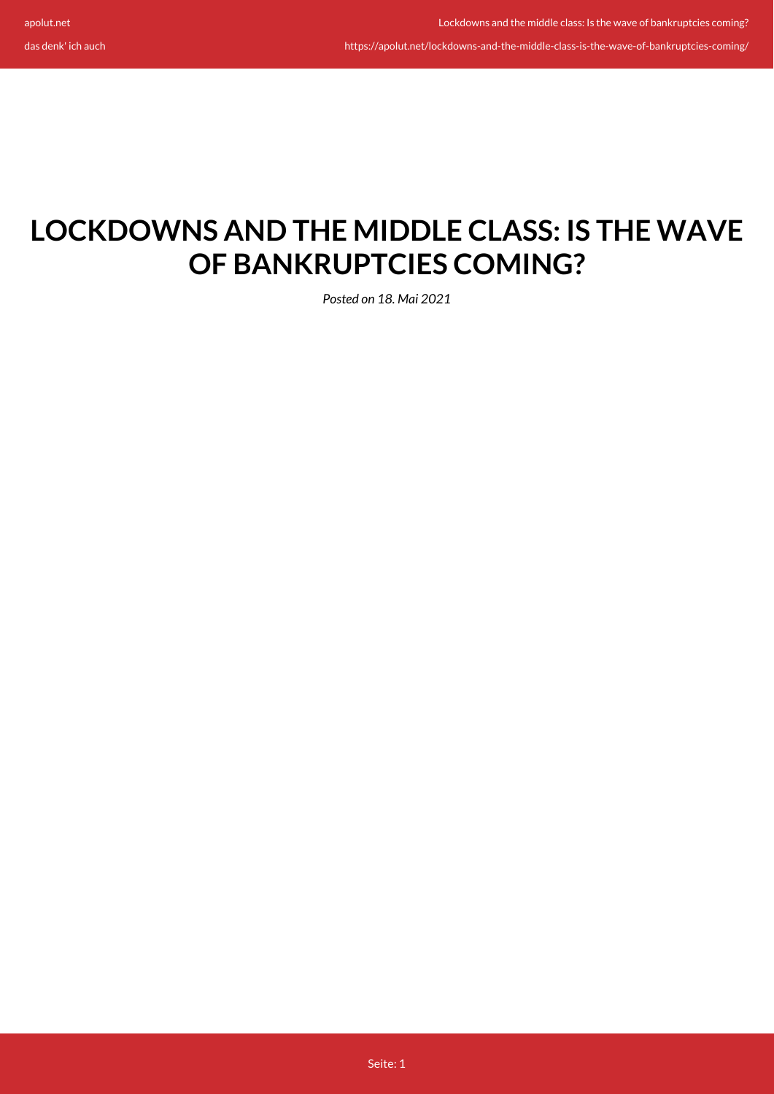https://apolut.net/lockdowns-and-the-middle-class-is-the-wave-of-bankruptcies-coming/

# **LOCKDOWNS AND THE MIDDLE CLASS: IS THE WAVE OF BANKRUPTCIES COMING?**

*Posted on 18. Mai 2021*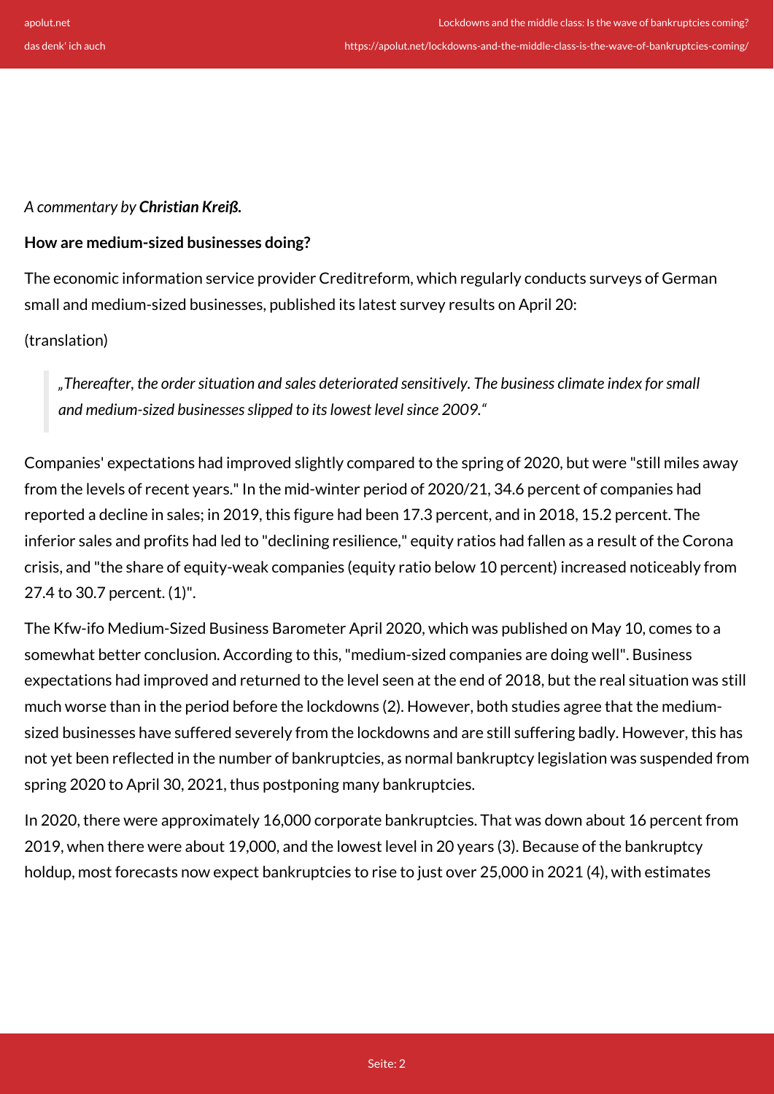*A commentary by Christian Kreiß.*

#### **How are medium-sized businesses doing?**

The economic information service provider Creditreform, which regularly conducts surveys of German small and medium-sized businesses, published its latest survey results on April 20:

## (translation)

*"Thereafter, the order situation and sales deteriorated sensitively. The business climate index for small and medium-sized businesses slipped to its lowest level since 2009."*

Companies' expectations had improved slightly compared to the spring of 2020, but were "still miles away from the levels of recent years." In the mid-winter period of 2020/21, 34.6 percent of companies had reported a decline in sales; in 2019, this figure had been 17.3 percent, and in 2018, 15.2 percent. The inferior sales and profits had led to "declining resilience," equity ratios had fallen as a result of the Corona crisis, and "the share of equity-weak companies (equity ratio below 10 percent) increased noticeably from 27.4 to 30.7 percent. (1)".

The Kfw-ifo Medium-Sized Business Barometer April 2020, which was published on May 10, comes to a somewhat better conclusion. According to this, "medium-sized companies are doing well". Business expectations had improved and returned to the level seen at the end of 2018, but the real situation was still much worse than in the period before the lockdowns (2). However, both studies agree that the mediumsized businesses have suffered severely from the lockdowns and are still suffering badly. However, this has not yet been reflected in the number of bankruptcies, as normal bankruptcy legislation was suspended from spring 2020 to April 30, 2021, thus postponing many bankruptcies.

In 2020, there were approximately 16,000 corporate bankruptcies. That was down about 16 percent from 2019, when there were about 19,000, and the lowest level in 20 years (3). Because of the bankruptcy holdup, most forecasts now expect bankruptcies to rise to just over 25,000 in 2021 (4), with estimates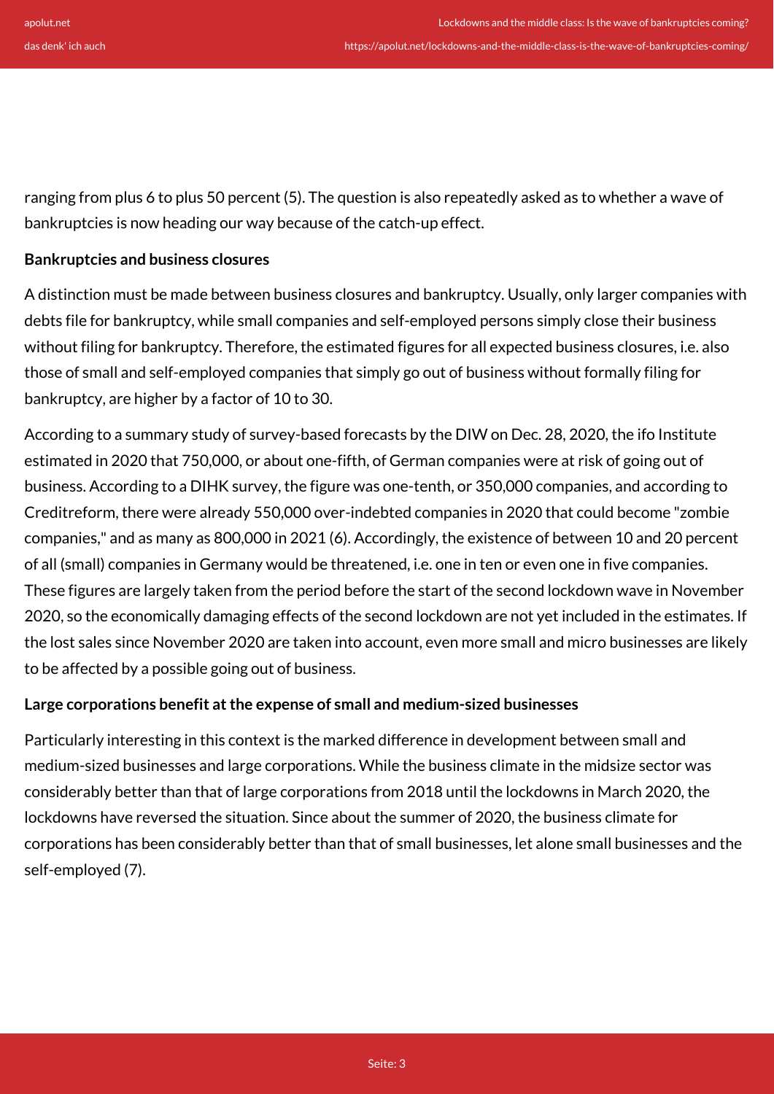ranging from plus 6 to plus 50 percent (5). The question is also repeatedly asked as to whether a wave of bankruptcies is now heading our way because of the catch-up effect.

## **Bankruptcies and business closures**

A distinction must be made between business closures and bankruptcy. Usually, only larger companies with debts file for bankruptcy, while small companies and self-employed persons simply close their business without filing for bankruptcy. Therefore, the estimated figures for all expected business closures, i.e. also those of small and self-employed companies that simply go out of business without formally filing for bankruptcy, are higher by a factor of 10 to 30.

According to a summary study of survey-based forecasts by the DIW on Dec. 28, 2020, the ifo Institute estimated in 2020 that 750,000, or about one-fifth, of German companies were at risk of going out of business. According to a DIHK survey, the figure was one-tenth, or 350,000 companies, and according to Creditreform, there were already 550,000 over-indebted companies in 2020 that could become "zombie companies," and as many as 800,000 in 2021 (6). Accordingly, the existence of between 10 and 20 percent of all (small) companies in Germany would be threatened, i.e. one in ten or even one in five companies. These figures are largely taken from the period before the start of the second lockdown wave in November 2020, so the economically damaging effects of the second lockdown are not yet included in the estimates. If the lost sales since November 2020 are taken into account, even more small and micro businesses are likely to be affected by a possible going out of business.

## **Large corporations benefit at the expense of small and medium-sized businesses**

Particularly interesting in this context is the marked difference in development between small and medium-sized businesses and large corporations. While the business climate in the midsize sector was considerably better than that of large corporations from 2018 until the lockdowns in March 2020, the lockdowns have reversed the situation. Since about the summer of 2020, the business climate for corporations has been considerably better than that of small businesses, let alone small businesses and the self-employed (7).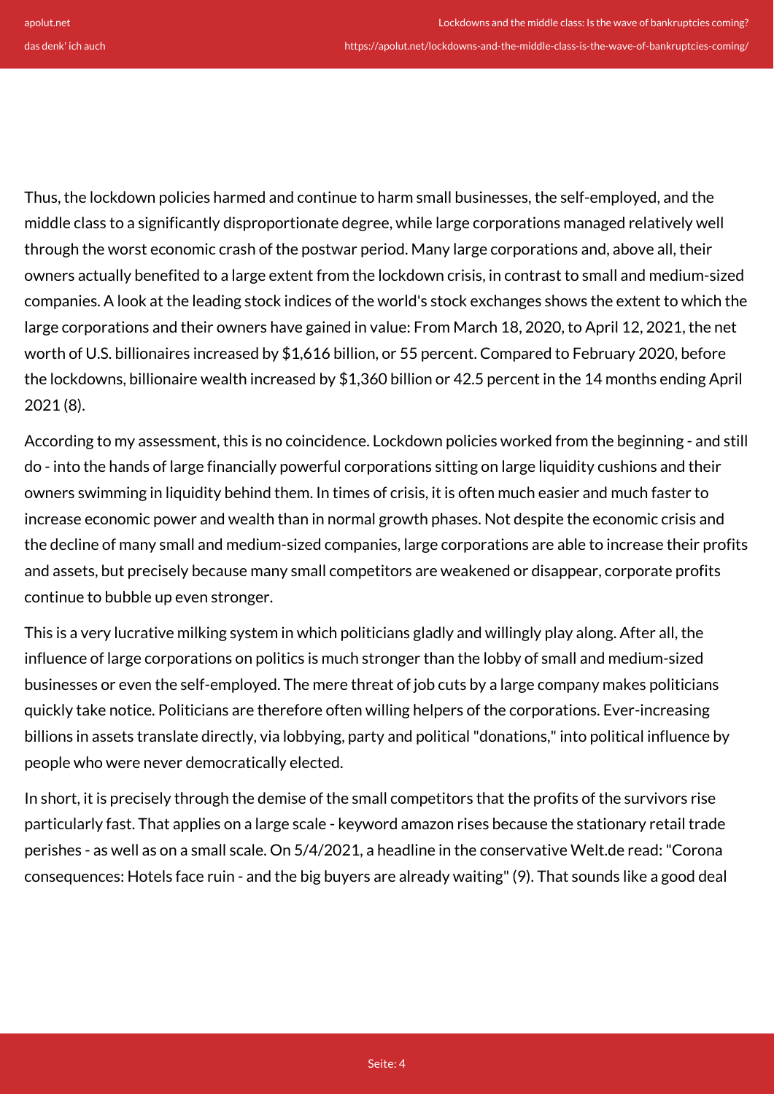Thus, the lockdown policies harmed and continue to harm small businesses, the self-employed, and the middle class to a significantly disproportionate degree, while large corporations managed relatively well through the worst economic crash of the postwar period. Many large corporations and, above all, their owners actually benefited to a large extent from the lockdown crisis, in contrast to small and medium-sized companies. A look at the leading stock indices of the world's stock exchanges shows the extent to which the large corporations and their owners have gained in value: From March 18, 2020, to April 12, 2021, the net worth of U.S. billionaires increased by \$1,616 billion, or 55 percent. Compared to February 2020, before the lockdowns, billionaire wealth increased by \$1,360 billion or 42.5 percent in the 14 months ending April 2021 (8).

According to my assessment, this is no coincidence. Lockdown policies worked from the beginning - and still do - into the hands of large financially powerful corporations sitting on large liquidity cushions and their owners swimming in liquidity behind them. In times of crisis, it is often much easier and much faster to increase economic power and wealth than in normal growth phases. Not despite the economic crisis and the decline of many small and medium-sized companies, large corporations are able to increase their profits and assets, but precisely because many small competitors are weakened or disappear, corporate profits continue to bubble up even stronger.

This is a very lucrative milking system in which politicians gladly and willingly play along. After all, the influence of large corporations on politics is much stronger than the lobby of small and medium-sized businesses or even the self-employed. The mere threat of job cuts by a large company makes politicians quickly take notice. Politicians are therefore often willing helpers of the corporations. Ever-increasing billions in assets translate directly, via lobbying, party and political "donations," into political influence by people who were never democratically elected.

In short, it is precisely through the demise of the small competitors that the profits of the survivors rise particularly fast. That applies on a large scale - keyword amazon rises because the stationary retail trade perishes - as well as on a small scale. On 5/4/2021, a headline in the conservative Welt.de read: "Corona consequences: Hotels face ruin - and the big buyers are already waiting" (9). That sounds like a good deal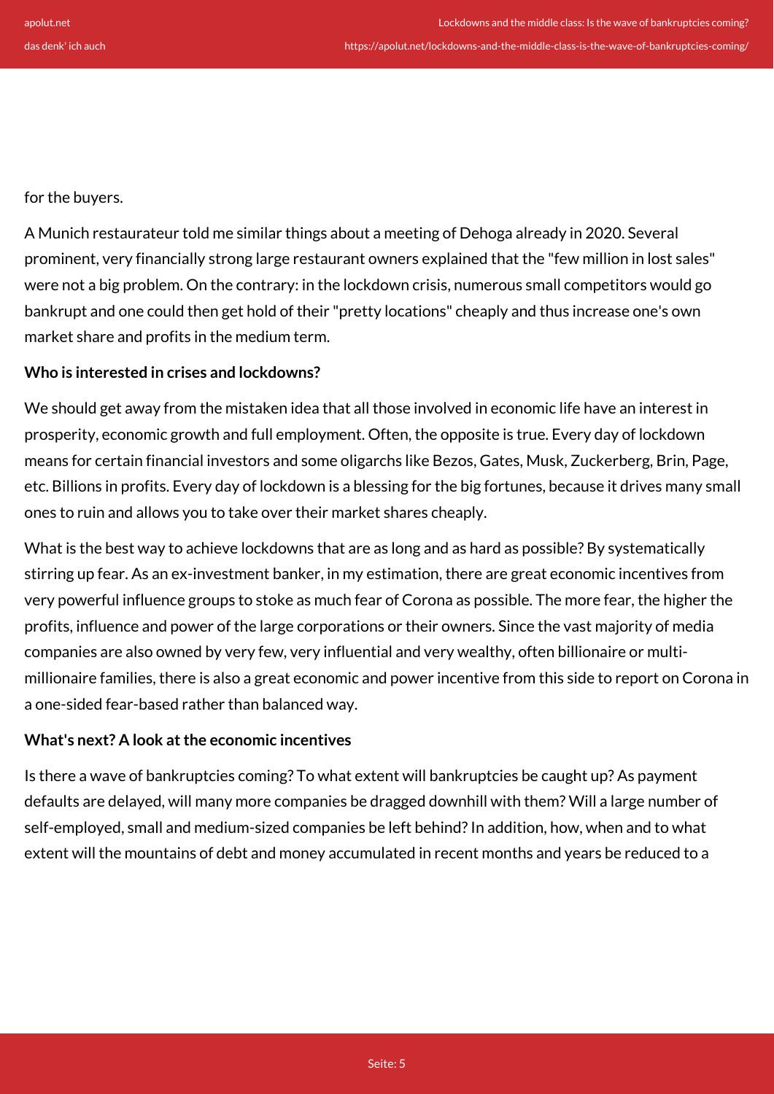for the buyers.

A Munich restaurateur told me similar things about a meeting of Dehoga already in 2020. Several prominent, very financially strong large restaurant owners explained that the "few million in lost sales" were not a big problem. On the contrary: in the lockdown crisis, numerous small competitors would go bankrupt and one could then get hold of their "pretty locations" cheaply and thus increase one's own market share and profits in the medium term.

## **Who is interested in crises and lockdowns?**

We should get away from the mistaken idea that all those involved in economic life have an interest in prosperity, economic growth and full employment. Often, the opposite is true. Every day of lockdown means for certain financial investors and some oligarchs like Bezos, Gates, Musk, Zuckerberg, Brin, Page, etc. Billions in profits. Every day of lockdown is a blessing for the big fortunes, because it drives many small ones to ruin and allows you to take over their market shares cheaply.

What is the best way to achieve lockdowns that are as long and as hard as possible? By systematically stirring up fear. As an ex-investment banker, in my estimation, there are great economic incentives from very powerful influence groups to stoke as much fear of Corona as possible. The more fear, the higher the profits, influence and power of the large corporations or their owners. Since the vast majority of media companies are also owned by very few, very influential and very wealthy, often billionaire or multimillionaire families, there is also a great economic and power incentive from this side to report on Corona in a one-sided fear-based rather than balanced way.

## **What's next? A look at the economic incentives**

Is there a wave of bankruptcies coming? To what extent will bankruptcies be caught up? As payment defaults are delayed, will many more companies be dragged downhill with them? Will a large number of self-employed, small and medium-sized companies be left behind? In addition, how, when and to what extent will the mountains of debt and money accumulated in recent months and years be reduced to a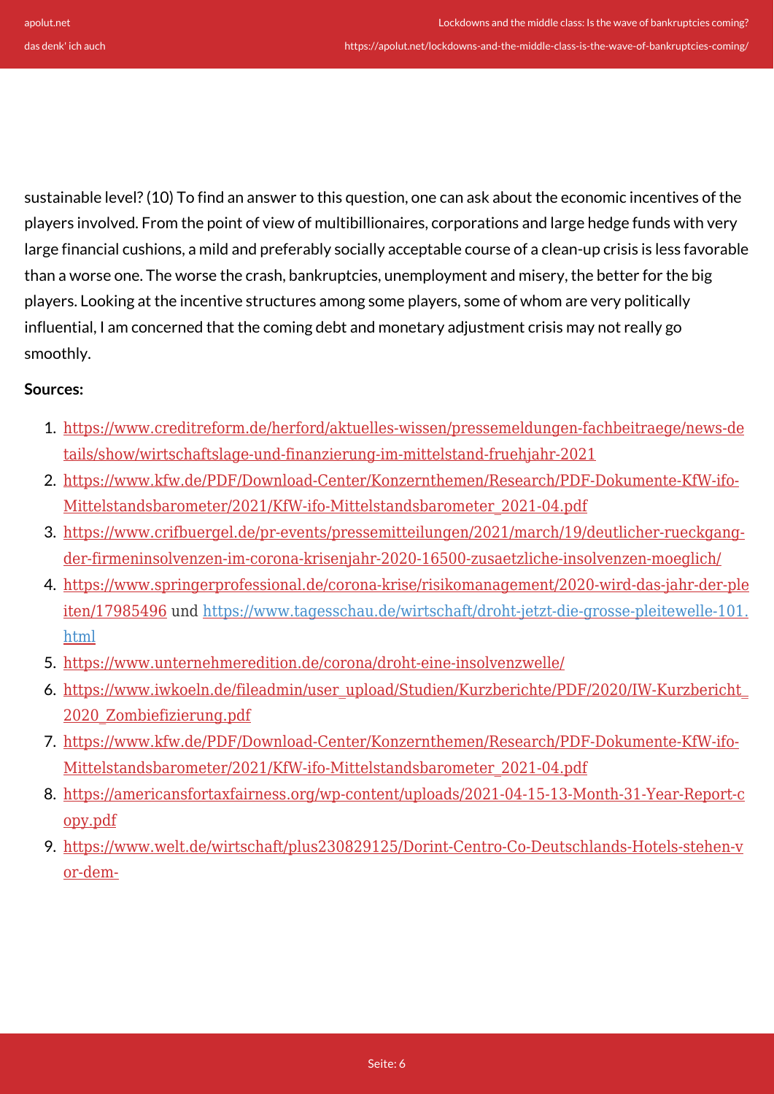sustainable level? (10) To find an answer to this question, one can ask about the economic incentives of the players involved. From the point of view of multibillionaires, corporations and large hedge funds with very large financial cushions, a mild and preferably socially acceptable course of a clean-up crisis is less favorable than a worse one. The worse the crash, bankruptcies, unemployment and misery, the better for the big players. Looking at the incentive structures among some players, some of whom are very politically influential, I am concerned that the coming debt and monetary adjustment crisis may not really go smoothly.

## **Sources:**

- 1. [https://www.creditreform.de/herford/aktuelles-wissen/pressemeldungen-fachbeitraege/news-de](https://www.creditreform.de/herford/aktuelles-wissen/pressemeldungen-fachbeitraege/news-details/show/wirtschaftslage-und-finanzierung-im-mittelstand-fruehjahr-2021) [tails/show/wirtschaftslage-und-finanzierung-im-mittelstand-fruehjahr-2021](https://www.creditreform.de/herford/aktuelles-wissen/pressemeldungen-fachbeitraege/news-details/show/wirtschaftslage-und-finanzierung-im-mittelstand-fruehjahr-2021)
- 2. [https://www.kfw.de/PDF/Download-Center/Konzernthemen/Research/PDF-Dokumente-KfW-ifo-](https://www.kfw.de/PDF/Download-Center/Konzernthemen/Research/PDF-Dokumente-KfW-ifo-Mittelstandsbarometer/2021/KfW-ifo-Mittelstandsbarometer_2021-04.pdf)[Mittelstandsbarometer/2021/KfW-ifo-Mittelstandsbarometer\\_2021-04.pdf](https://www.kfw.de/PDF/Download-Center/Konzernthemen/Research/PDF-Dokumente-KfW-ifo-Mittelstandsbarometer/2021/KfW-ifo-Mittelstandsbarometer_2021-04.pdf)
- 3. [https://www.crifbuergel.de/pr-events/pressemitteilungen/2021/march/19/deutlicher-rueckgang](https://www.crifbuergel.de/pr-events/pressemitteilungen/2021/march/19/deutlicher-rueckgang-der-firmeninsolvenzen-im-corona-krisenjahr-2020-16500-zusaetzliche-insolvenzen-moeglich/)[der-firmeninsolvenzen-im-corona-krisenjahr-2020-16500-zusaetzliche-insolvenzen-moeglich/](https://www.crifbuergel.de/pr-events/pressemitteilungen/2021/march/19/deutlicher-rueckgang-der-firmeninsolvenzen-im-corona-krisenjahr-2020-16500-zusaetzliche-insolvenzen-moeglich/)
- 4. [https://www.springerprofessional.de/corona-krise/risikomanagement/2020-wird-das-jahr-der-ple](https://www.springerprofessional.de/corona-krise/risikomanagement/2020-wird-das-jahr-der-pleiten/17985496) [iten/17985496](https://www.springerprofessional.de/corona-krise/risikomanagement/2020-wird-das-jahr-der-pleiten/17985496) und [https://www.tagesschau.de/wirtschaft/droht-jetzt-die-grosse-pleitewelle-101.](https://www.tagesschau.de/wirtschaft/droht-jetzt-die-grosse-pleitewelle-101.html) [html](https://www.tagesschau.de/wirtschaft/droht-jetzt-die-grosse-pleitewelle-101.html)
- 5. <https://www.unternehmeredition.de/corona/droht-eine-insolvenzwelle/>
- 6. [https://www.iwkoeln.de/fileadmin/user\\_upload/Studien/Kurzberichte/PDF/2020/IW-Kurzbericht\\_](https://www.iwkoeln.de/fileadmin/user_upload/Studien/Kurzberichte/PDF/2020/IW-Kurzbericht_2020_Zombiefizierung.pdf) [2020\\_Zombiefizierung.pdf](https://www.iwkoeln.de/fileadmin/user_upload/Studien/Kurzberichte/PDF/2020/IW-Kurzbericht_2020_Zombiefizierung.pdf)
- 7. [https://www.kfw.de/PDF/Download-Center/Konzernthemen/Research/PDF-Dokumente-KfW-ifo-](https://www.kfw.de/PDF/Download-Center/Konzernthemen/Research/PDF-Dokumente-KfW-ifo-Mittelstandsbarometer/2021/KfW-ifo-Mittelstandsbarometer_2021-04.pdf)[Mittelstandsbarometer/2021/KfW-ifo-Mittelstandsbarometer\\_2021-04.pdf](https://www.kfw.de/PDF/Download-Center/Konzernthemen/Research/PDF-Dokumente-KfW-ifo-Mittelstandsbarometer/2021/KfW-ifo-Mittelstandsbarometer_2021-04.pdf)
- 8. [https://americansfortaxfairness.org/wp-content/uploads/2021-04-15-13-Month-31-Year-Report-c](https://americansfortaxfairness.org/wp-content/uploads/2021-04-15-13-Month-31-Year-Report-copy.pdf) [opy.pdf](https://americansfortaxfairness.org/wp-content/uploads/2021-04-15-13-Month-31-Year-Report-copy.pdf)
- 9. [https://www.welt.de/wirtschaft/plus230829125/Dorint-Centro-Co-Deutschlands-Hotels-stehen-v](https://www.welt.de/wirtschaft/plus230829125/Dorint-Centro-Co-Deutschlands-Hotels-stehen-vor-dem-Ausverkauf.html?sc_src=email_590377&sc_lid=47928323&sc_uid=4he651ORbJ&sc_llid=23458&sc_cid=590377&cid=email.crm.redaktion.newsletter.was_die_welt_bewegt) [or-dem-](https://www.welt.de/wirtschaft/plus230829125/Dorint-Centro-Co-Deutschlands-Hotels-stehen-vor-dem-Ausverkauf.html?sc_src=email_590377&sc_lid=47928323&sc_uid=4he651ORbJ&sc_llid=23458&sc_cid=590377&cid=email.crm.redaktion.newsletter.was_die_welt_bewegt)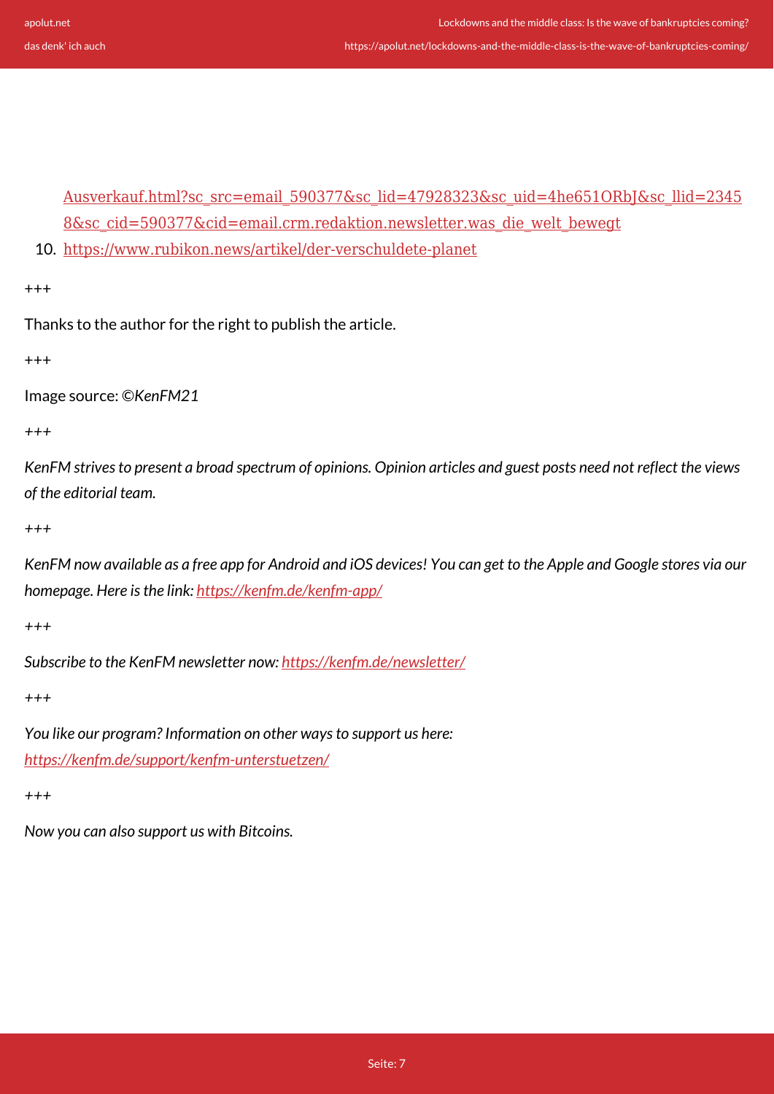[Ausverkauf.html?sc\\_src=email\\_590377&sc\\_lid=47928323&sc\\_uid=4he651ORbJ&sc\\_llid=2345](https://www.welt.de/wirtschaft/plus230829125/Dorint-Centro-Co-Deutschlands-Hotels-stehen-vor-dem-Ausverkauf.html?sc_src=email_590377&sc_lid=47928323&sc_uid=4he651ORbJ&sc_llid=23458&sc_cid=590377&cid=email.crm.redaktion.newsletter.was_die_welt_bewegt) [8&sc\\_cid=590377&cid=email.crm.redaktion.newsletter.was\\_die\\_welt\\_bewegt](https://www.welt.de/wirtschaft/plus230829125/Dorint-Centro-Co-Deutschlands-Hotels-stehen-vor-dem-Ausverkauf.html?sc_src=email_590377&sc_lid=47928323&sc_uid=4he651ORbJ&sc_llid=23458&sc_cid=590377&cid=email.crm.redaktion.newsletter.was_die_welt_bewegt)

10. <https://www.rubikon.news/artikel/der-verschuldete-planet>

+++

Thanks to the author for the right to publish the article.

+++

Image source: *©KenFM21*

*+++*

*KenFM strives to present a broad spectrum of opinions. Opinion articles and guest posts need not reflect the views of the editorial team.*

*+++*

*KenFM now available as a free app for Android and iOS devices! You can get to the Apple and Google stores via our homepage. Here is the link:<https://kenfm.de/kenfm-app/>*

*+++*

*Subscribe to the KenFM newsletter now: <https://kenfm.de/newsletter/>*

*+++*

*You like our program? Information on other ways to support us here: <https://kenfm.de/support/kenfm-unterstuetzen/>*

*+++*

*Now you can also support us with Bitcoins.*